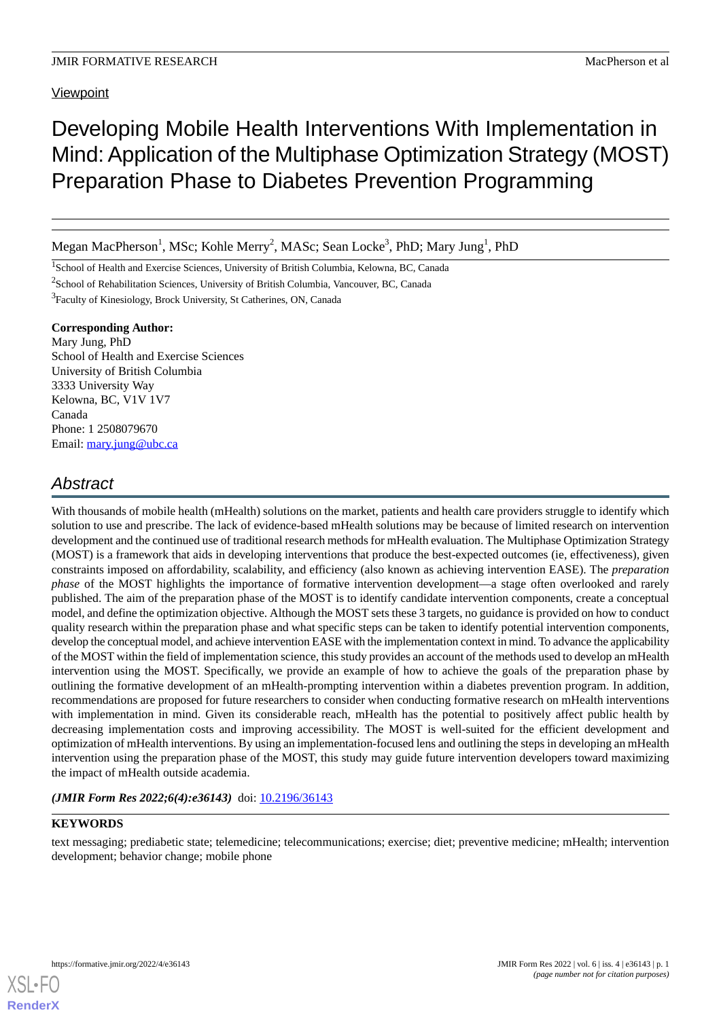### **Viewpoint**

# Developing Mobile Health Interventions With Implementation in Mind:Application of the Multiphase Optimization Strategy (MOST) Preparation Phase to Diabetes Prevention Programming

Megan MacPherson<sup>1</sup>, MSc; Kohle Merry<sup>2</sup>, MASc; Sean Locke<sup>3</sup>, PhD; Mary Jung<sup>1</sup>, PhD

<sup>1</sup>School of Health and Exercise Sciences, University of British Columbia, Kelowna, BC, Canada

 $2$ School of Rehabilitation Sciences, University of British Columbia, Vancouver, BC, Canada

<sup>3</sup>Faculty of Kinesiology, Brock University, St Catherines, ON, Canada

### **Corresponding Author:**

Mary Jung, PhD School of Health and Exercise Sciences University of British Columbia 3333 University Way Kelowna, BC, V1V 1V7 Canada Phone: 1 2508079670 Email: [mary.jung@ubc.ca](mailto:mary.jung@ubc.ca)

## *Abstract*

With thousands of mobile health (mHealth) solutions on the market, patients and health care providers struggle to identify which solution to use and prescribe. The lack of evidence-based mHealth solutions may be because of limited research on intervention development and the continued use of traditional research methods for mHealth evaluation. The Multiphase Optimization Strategy (MOST) is a framework that aids in developing interventions that produce the best-expected outcomes (ie, effectiveness), given constraints imposed on affordability, scalability, and efficiency (also known as achieving intervention EASE). The *preparation phase* of the MOST highlights the importance of formative intervention development—a stage often overlooked and rarely published. The aim of the preparation phase of the MOST is to identify candidate intervention components, create a conceptual model, and define the optimization objective. Although the MOST sets these 3 targets, no guidance is provided on how to conduct quality research within the preparation phase and what specific steps can be taken to identify potential intervention components, develop the conceptual model, and achieve intervention EASE with the implementation context in mind. To advance the applicability of the MOST within the field of implementation science, this study provides an account of the methods used to develop an mHealth intervention using the MOST. Specifically, we provide an example of how to achieve the goals of the preparation phase by outlining the formative development of an mHealth-prompting intervention within a diabetes prevention program. In addition, recommendations are proposed for future researchers to consider when conducting formative research on mHealth interventions with implementation in mind. Given its considerable reach, mHealth has the potential to positively affect public health by decreasing implementation costs and improving accessibility. The MOST is well-suited for the efficient development and optimization of mHealth interventions. By using an implementation-focused lens and outlining the steps in developing an mHealth intervention using the preparation phase of the MOST, this study may guide future intervention developers toward maximizing the impact of mHealth outside academia.

### *(JMIR Form Res 2022;6(4):e36143)* doi:  $10.2196/36143$

### **KEYWORDS**

text messaging; prediabetic state; telemedicine; telecommunications; exercise; diet; preventive medicine; mHealth; intervention development; behavior change; mobile phone

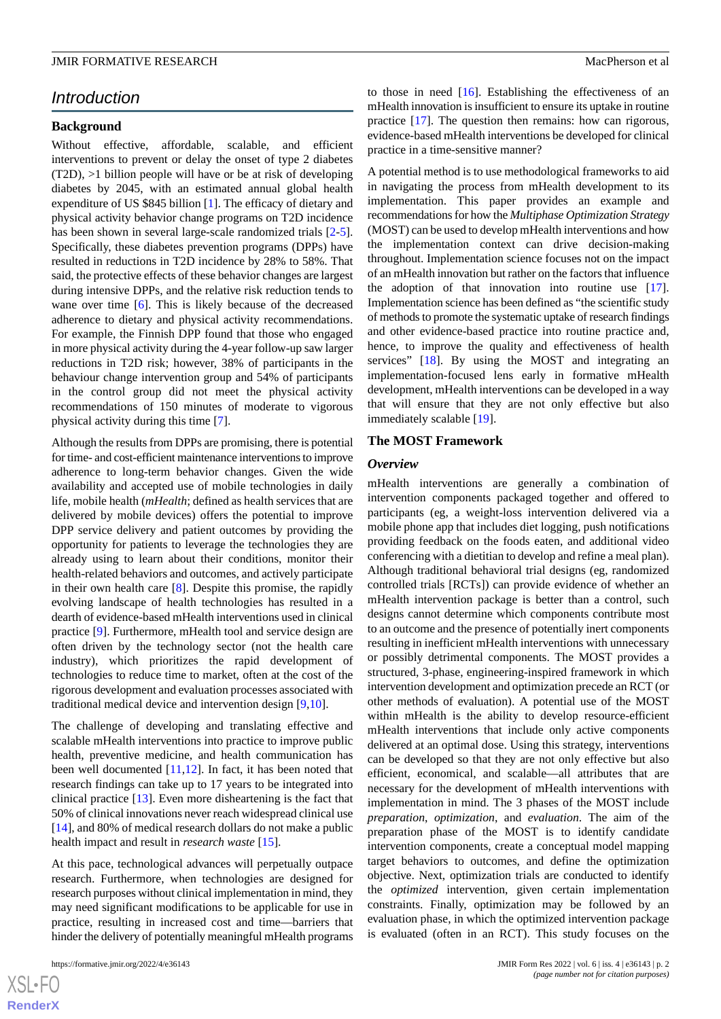### *Introduction*

### **Background**

Without effective, affordable, scalable, and efficient interventions to prevent or delay the onset of type 2 diabetes (T2D), >1 billion people will have or be at risk of developing diabetes by 2045, with an estimated annual global health expenditure of US \$845 billion [[1\]](#page-9-0). The efficacy of dietary and physical activity behavior change programs on T2D incidence has been shown in several large-scale randomized trials [\[2-](#page-9-1)[5\]](#page-9-2). Specifically, these diabetes prevention programs (DPPs) have resulted in reductions in T2D incidence by 28% to 58%. That said, the protective effects of these behavior changes are largest during intensive DPPs, and the relative risk reduction tends to wane over time [\[6](#page-9-3)]. This is likely because of the decreased adherence to dietary and physical activity recommendations. For example, the Finnish DPP found that those who engaged in more physical activity during the 4-year follow-up saw larger reductions in T2D risk; however, 38% of participants in the behaviour change intervention group and 54% of participants in the control group did not meet the physical activity recommendations of 150 minutes of moderate to vigorous physical activity during this time [[7\]](#page-9-4).

Although the results from DPPs are promising, there is potential for time- and cost-efficient maintenance interventions to improve adherence to long-term behavior changes. Given the wide availability and accepted use of mobile technologies in daily life, mobile health (*mHealth*; defined as health services that are delivered by mobile devices) offers the potential to improve DPP service delivery and patient outcomes by providing the opportunity for patients to leverage the technologies they are already using to learn about their conditions, monitor their health-related behaviors and outcomes, and actively participate in their own health care [\[8](#page-9-5)]. Despite this promise, the rapidly evolving landscape of health technologies has resulted in a dearth of evidence-based mHealth interventions used in clinical practice [[9\]](#page-9-6). Furthermore, mHealth tool and service design are often driven by the technology sector (not the health care industry), which prioritizes the rapid development of technologies to reduce time to market, often at the cost of the rigorous development and evaluation processes associated with traditional medical device and intervention design [\[9](#page-9-6),[10\]](#page-9-7).

The challenge of developing and translating effective and scalable mHealth interventions into practice to improve public health, preventive medicine, and health communication has been well documented [\[11](#page-9-8),[12\]](#page-9-9). In fact, it has been noted that research findings can take up to 17 years to be integrated into clinical practice [[13\]](#page-9-10). Even more disheartening is the fact that 50% of clinical innovations never reach widespread clinical use [[14\]](#page-9-11), and 80% of medical research dollars do not make a public health impact and result in *research waste* [\[15](#page-9-12)].

At this pace, technological advances will perpetually outpace research. Furthermore, when technologies are designed for research purposes without clinical implementation in mind, they may need significant modifications to be applicable for use in practice, resulting in increased cost and time—barriers that hinder the delivery of potentially meaningful mHealth programs

 $XS$ -FO **[RenderX](http://www.renderx.com/)** to those in need  $[16]$  $[16]$ . Establishing the effectiveness of an mHealth innovation is insufficient to ensure its uptake in routine practice [\[17](#page-9-14)]. The question then remains: how can rigorous, evidence-based mHealth interventions be developed for clinical practice in a time-sensitive manner?

A potential method is to use methodological frameworks to aid in navigating the process from mHealth development to its implementation. This paper provides an example and recommendations for how the *Multiphase Optimization Strategy* (MOST) can be used to develop mHealth interventions and how the implementation context can drive decision-making throughout. Implementation science focuses not on the impact of an mHealth innovation but rather on the factors that influence the adoption of that innovation into routine use [[17\]](#page-9-14). Implementation science has been defined as "the scientific study of methods to promote the systematic uptake of research findings and other evidence-based practice into routine practice and, hence, to improve the quality and effectiveness of health services" [\[18](#page-9-15)]. By using the MOST and integrating an implementation-focused lens early in formative mHealth development, mHealth interventions can be developed in a way that will ensure that they are not only effective but also immediately scalable [\[19](#page-9-16)].

#### **The MOST Framework**

#### *Overview*

mHealth interventions are generally a combination of intervention components packaged together and offered to participants (eg, a weight-loss intervention delivered via a mobile phone app that includes diet logging, push notifications providing feedback on the foods eaten, and additional video conferencing with a dietitian to develop and refine a meal plan). Although traditional behavioral trial designs (eg, randomized controlled trials [RCTs]) can provide evidence of whether an mHealth intervention package is better than a control, such designs cannot determine which components contribute most to an outcome and the presence of potentially inert components resulting in inefficient mHealth interventions with unnecessary or possibly detrimental components. The MOST provides a structured, 3-phase, engineering-inspired framework in which intervention development and optimization precede an RCT (or other methods of evaluation). A potential use of the MOST within mHealth is the ability to develop resource-efficient mHealth interventions that include only active components delivered at an optimal dose. Using this strategy, interventions can be developed so that they are not only effective but also efficient, economical, and scalable—all attributes that are necessary for the development of mHealth interventions with implementation in mind. The 3 phases of the MOST include *preparation*, *optimization*, and *evaluation*. The aim of the preparation phase of the MOST is to identify candidate intervention components, create a conceptual model mapping target behaviors to outcomes, and define the optimization objective. Next, optimization trials are conducted to identify the *optimized* intervention, given certain implementation constraints. Finally, optimization may be followed by an evaluation phase, in which the optimized intervention package is evaluated (often in an RCT). This study focuses on the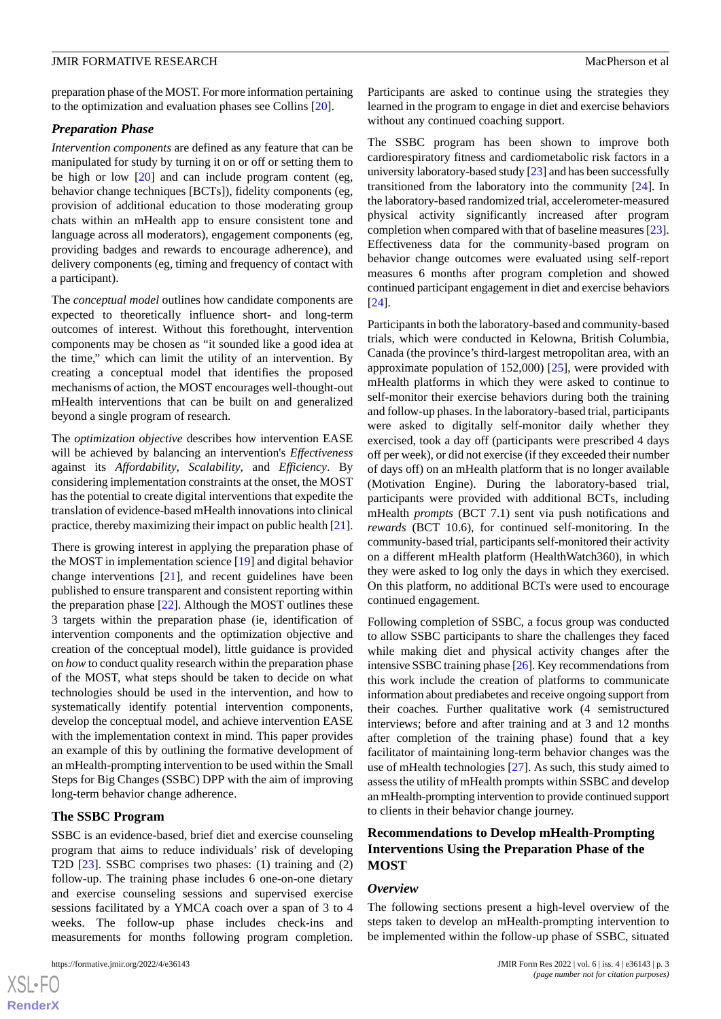preparation phase of the MOST. For more information pertaining to the optimization and evaluation phases see Collins [\[20](#page-9-17)].

### *Preparation Phase*

*Intervention components* are defined as any feature that can be manipulated for study by turning it on or off or setting them to be high or low [\[20](#page-9-17)] and can include program content (eg, behavior change techniques [BCTs]), fidelity components (eg, provision of additional education to those moderating group chats within an mHealth app to ensure consistent tone and language across all moderators), engagement components (eg, providing badges and rewards to encourage adherence), and delivery components (eg, timing and frequency of contact with a participant).

The *conceptual model* outlines how candidate components are expected to theoretically influence short- and long-term outcomes of interest. Without this forethought, intervention components may be chosen as "it sounded like a good idea at the time," which can limit the utility of an intervention. By creating a conceptual model that identifies the proposed mechanisms of action, the MOST encourages well-thought-out mHealth interventions that can be built on and generalized beyond a single program of research.

The *optimization objective* describes how intervention EASE will be achieved by balancing an intervention's *Effectiveness* against its *Affordability*, *Scalability*, and *Efficiency*. By considering implementation constraints at the onset, the MOST has the potential to create digital interventions that expedite the translation of evidence-based mHealth innovations into clinical practice, thereby maximizing their impact on public health [\[21\]](#page-9-18).

There is growing interest in applying the preparation phase of the MOST in implementation science [[19\]](#page-9-16) and digital behavior change interventions [\[21](#page-9-18)], and recent guidelines have been published to ensure transparent and consistent reporting within the preparation phase [[22\]](#page-9-19). Although the MOST outlines these 3 targets within the preparation phase (ie, identification of intervention components and the optimization objective and creation of the conceptual model), little guidance is provided on *how* to conduct quality research within the preparation phase of the MOST, what steps should be taken to decide on what technologies should be used in the intervention, and how to systematically identify potential intervention components, develop the conceptual model, and achieve intervention EASE with the implementation context in mind. This paper provides an example of this by outlining the formative development of an mHealth-prompting intervention to be used within the Small Steps for Big Changes (SSBC) DPP with the aim of improving long-term behavior change adherence.

### **The SSBC Program**

SSBC is an evidence-based, brief diet and exercise counseling program that aims to reduce individuals' risk of developing T2D [[23\]](#page-10-0). SSBC comprises two phases: (1) training and (2) follow-up. The training phase includes 6 one-on-one dietary and exercise counseling sessions and supervised exercise sessions facilitated by a YMCA coach over a span of 3 to 4 weeks. The follow-up phase includes check-ins and measurements for months following program completion.

Participants are asked to continue using the strategies they learned in the program to engage in diet and exercise behaviors without any continued coaching support.

The SSBC program has been shown to improve both cardiorespiratory fitness and cardiometabolic risk factors in a university laboratory-based study [\[23](#page-10-0)] and has been successfully transitioned from the laboratory into the community [\[24](#page-10-1)]. In the laboratory-based randomized trial, accelerometer-measured physical activity significantly increased after program completion when compared with that of baseline measures [\[23\]](#page-10-0). Effectiveness data for the community-based program on behavior change outcomes were evaluated using self-report measures 6 months after program completion and showed continued participant engagement in diet and exercise behaviors [[24\]](#page-10-1).

Participants in both the laboratory-based and community-based trials, which were conducted in Kelowna, British Columbia, Canada (the province's third-largest metropolitan area, with an approximate population of  $152,000$  [ $25$ ], were provided with mHealth platforms in which they were asked to continue to self-monitor their exercise behaviors during both the training and follow-up phases. In the laboratory-based trial, participants were asked to digitally self-monitor daily whether they exercised, took a day off (participants were prescribed 4 days off per week), or did not exercise (if they exceeded their number of days off) on an mHealth platform that is no longer available (Motivation Engine). During the laboratory-based trial, participants were provided with additional BCTs, including mHealth *prompts* (BCT 7.1) sent via push notifications and *rewards* (BCT 10.6), for continued self-monitoring. In the community-based trial, participants self-monitored their activity on a different mHealth platform (HealthWatch360), in which they were asked to log only the days in which they exercised. On this platform, no additional BCTs were used to encourage continued engagement.

Following completion of SSBC, a focus group was conducted to allow SSBC participants to share the challenges they faced while making diet and physical activity changes after the intensive SSBC training phase [\[26](#page-10-3)]. Key recommendations from this work include the creation of platforms to communicate information about prediabetes and receive ongoing support from their coaches. Further qualitative work (4 semistructured interviews; before and after training and at 3 and 12 months after completion of the training phase) found that a key facilitator of maintaining long-term behavior changes was the use of mHealth technologies [[27\]](#page-10-4). As such, this study aimed to assess the utility of mHealth prompts within SSBC and develop an mHealth-prompting intervention to provide continued support to clients in their behavior change journey.

### **Recommendations to Develop mHealth-Prompting Interventions Using the Preparation Phase of the MOST**

#### *Overview*

The following sections present a high-level overview of the steps taken to develop an mHealth-prompting intervention to be implemented within the follow-up phase of SSBC, situated

 $XS$ -FO **[RenderX](http://www.renderx.com/)**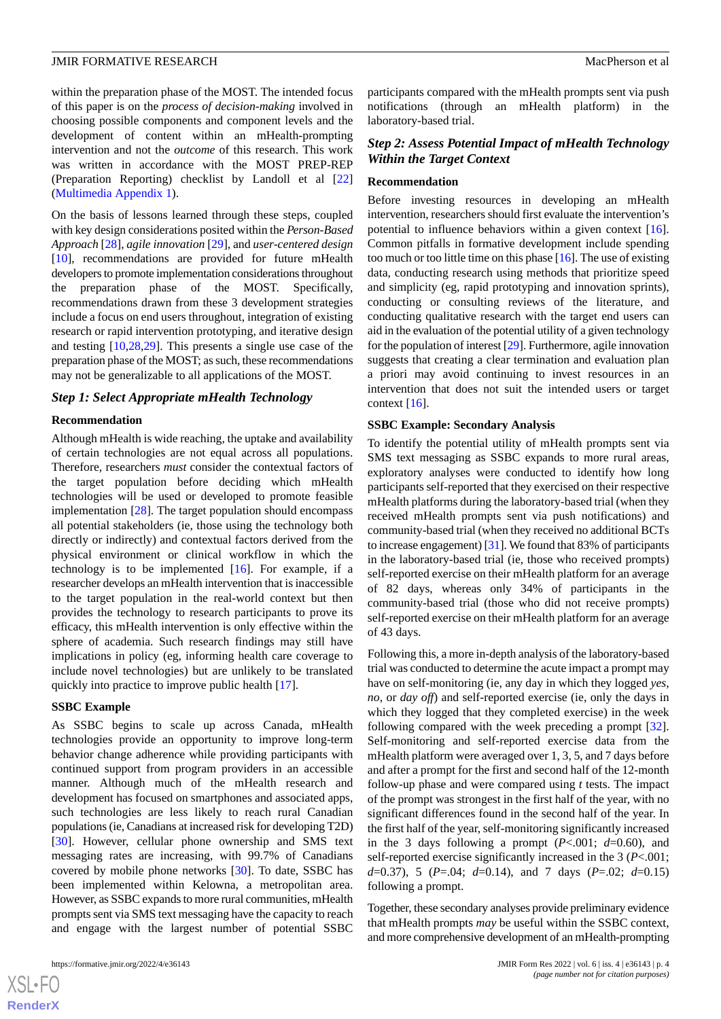within the preparation phase of the MOST. The intended focus of this paper is on the *process of decision-making* involved in choosing possible components and component levels and the development of content within an mHealth-prompting intervention and not the *outcome* of this research. This work was written in accordance with the MOST PREP-REP (Preparation Reporting) checklist by Landoll et al [\[22](#page-9-19)] ([Multimedia Appendix 1\)](#page-9-20).

On the basis of lessons learned through these steps, coupled with key design considerations posited within the *Person-Based Approach* [[28\]](#page-10-5), *agile innovation* [[29\]](#page-10-6), and *user-centered design* [[10\]](#page-9-7), recommendations are provided for future mHealth developers to promote implementation considerations throughout the preparation phase of the MOST. Specifically, recommendations drawn from these 3 development strategies include a focus on end users throughout, integration of existing research or rapid intervention prototyping, and iterative design and testing [[10,](#page-9-7)[28](#page-10-5),[29\]](#page-10-6). This presents a single use case of the preparation phase of the MOST; as such, these recommendations may not be generalizable to all applications of the MOST.

#### *Step 1: Select Appropriate mHealth Technology*

#### **Recommendation**

Although mHealth is wide reaching, the uptake and availability of certain technologies are not equal across all populations. Therefore, researchers *must* consider the contextual factors of the target population before deciding which mHealth technologies will be used or developed to promote feasible implementation [\[28](#page-10-5)]. The target population should encompass all potential stakeholders (ie, those using the technology both directly or indirectly) and contextual factors derived from the physical environment or clinical workflow in which the technology is to be implemented  $[16]$  $[16]$ . For example, if a researcher develops an mHealth intervention that is inaccessible to the target population in the real-world context but then provides the technology to research participants to prove its efficacy, this mHealth intervention is only effective within the sphere of academia. Such research findings may still have implications in policy (eg, informing health care coverage to include novel technologies) but are unlikely to be translated quickly into practice to improve public health [[17\]](#page-9-14).

#### **SSBC Example**

As SSBC begins to scale up across Canada, mHealth technologies provide an opportunity to improve long-term behavior change adherence while providing participants with continued support from program providers in an accessible manner. Although much of the mHealth research and development has focused on smartphones and associated apps, such technologies are less likely to reach rural Canadian populations (ie, Canadians at increased risk for developing T2D) [[30\]](#page-10-7). However, cellular phone ownership and SMS text messaging rates are increasing, with 99.7% of Canadians covered by mobile phone networks [\[30](#page-10-7)]. To date, SSBC has been implemented within Kelowna, a metropolitan area. However, as SSBC expands to more rural communities, mHealth prompts sent via SMS text messaging have the capacity to reach and engage with the largest number of potential SSBC

participants compared with the mHealth prompts sent via push notifications (through an mHealth platform) in the laboratory-based trial.

### *Step 2: Assess Potential Impact of mHealth Technology Within the Target Context*

#### **Recommendation**

Before investing resources in developing an mHealth intervention, researchers should first evaluate the intervention's potential to influence behaviors within a given context [[16\]](#page-9-13). Common pitfalls in formative development include spending too much or too little time on this phase [[16\]](#page-9-13). The use of existing data, conducting research using methods that prioritize speed and simplicity (eg, rapid prototyping and innovation sprints), conducting or consulting reviews of the literature, and conducting qualitative research with the target end users can aid in the evaluation of the potential utility of a given technology for the population of interest [\[29\]](#page-10-6). Furthermore, agile innovation suggests that creating a clear termination and evaluation plan a priori may avoid continuing to invest resources in an intervention that does not suit the intended users or target context  $[16]$  $[16]$ .

### **SSBC Example: Secondary Analysis**

To identify the potential utility of mHealth prompts sent via SMS text messaging as SSBC expands to more rural areas, exploratory analyses were conducted to identify how long participants self-reported that they exercised on their respective mHealth platforms during the laboratory-based trial (when they received mHealth prompts sent via push notifications) and community-based trial (when they received no additional BCTs to increase engagement) [\[31\]](#page-10-8). We found that 83% of participants in the laboratory-based trial (ie, those who received prompts) self-reported exercise on their mHealth platform for an average of 82 days, whereas only 34% of participants in the community-based trial (those who did not receive prompts) self-reported exercise on their mHealth platform for an average of 43 days.

Following this, a more in-depth analysis of the laboratory-based trial was conducted to determine the acute impact a prompt may have on self-monitoring (ie, any day in which they logged *yes*, *no*, or *day off*) and self-reported exercise (ie, only the days in which they logged that they completed exercise) in the week following compared with the week preceding a prompt [[32\]](#page-10-9). Self-monitoring and self-reported exercise data from the mHealth platform were averaged over 1, 3, 5, and 7 days before and after a prompt for the first and second half of the 12-month follow-up phase and were compared using *t* tests. The impact of the prompt was strongest in the first half of the year, with no significant differences found in the second half of the year. In the first half of the year, self-monitoring significantly increased in the 3 days following a prompt  $(P<.001; d=0.60)$ , and self-reported exercise significantly increased in the 3 (*P*<.001; *d*=0.37), 5 (*P*=.04; *d*=0.14), and 7 days (*P*=.02; *d*=0.15) following a prompt.

Together, these secondary analyses provide preliminary evidence that mHealth prompts *may* be useful within the SSBC context, and more comprehensive development of an mHealth-prompting

 $XS$ -FO **[RenderX](http://www.renderx.com/)**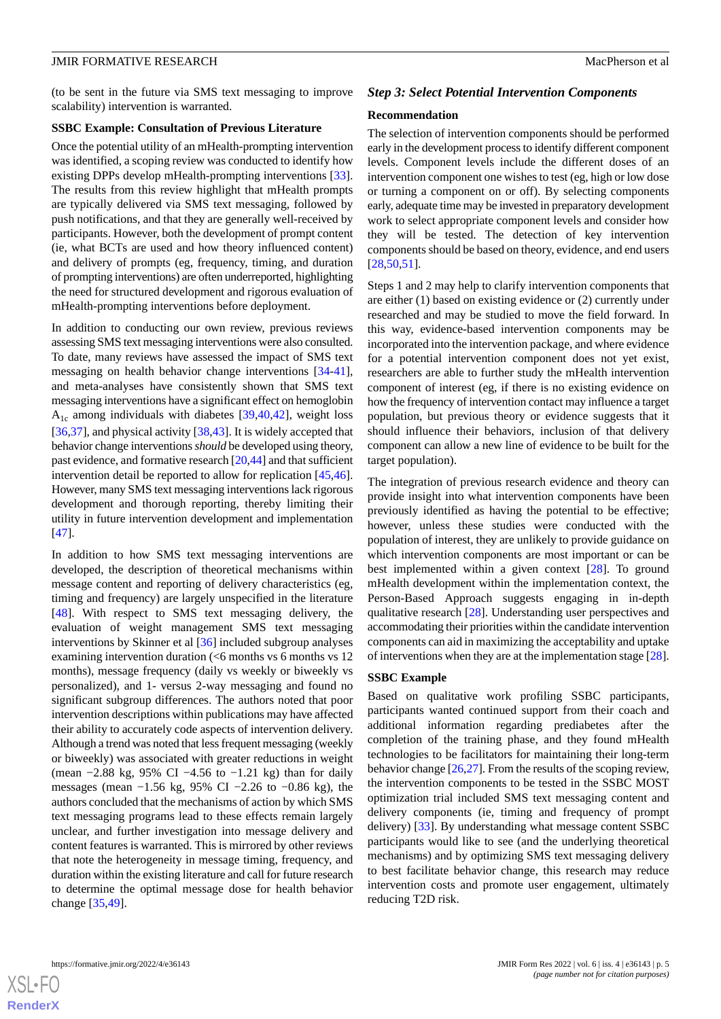(to be sent in the future via SMS text messaging to improve scalability) intervention is warranted.

#### **SSBC Example: Consultation of Previous Literature**

Once the potential utility of an mHealth-prompting intervention was identified, a scoping review was conducted to identify how existing DPPs develop mHealth-prompting interventions [[33\]](#page-10-10). The results from this review highlight that mHealth prompts are typically delivered via SMS text messaging, followed by push notifications, and that they are generally well-received by participants. However, both the development of prompt content (ie, what BCTs are used and how theory influenced content) and delivery of prompts (eg, frequency, timing, and duration of prompting interventions) are often underreported, highlighting the need for structured development and rigorous evaluation of mHealth-prompting interventions before deployment.

In addition to conducting our own review, previous reviews assessing SMS text messaging interventions were also consulted. To date, many reviews have assessed the impact of SMS text messaging on health behavior change interventions [\[34](#page-10-11)-[41\]](#page-10-12), and meta-analyses have consistently shown that SMS text messaging interventions have a significant effect on hemoglobin  $A_{1c}$  among individuals with diabetes [\[39](#page-10-13),[40,](#page-10-14)[42\]](#page-10-15), weight loss [[36](#page-10-16)[,37](#page-10-17)], and physical activity [\[38](#page-10-18),[43\]](#page-10-19). It is widely accepted that behavior change interventions *should* be developed using theory, past evidence, and formative research [\[20](#page-9-17),[44](#page-11-0)] and that sufficient intervention detail be reported to allow for replication [\[45](#page-11-1),[46\]](#page-11-2). However, many SMS text messaging interventions lack rigorous development and thorough reporting, thereby limiting their utility in future intervention development and implementation [[47\]](#page-11-3).

In addition to how SMS text messaging interventions are developed, the description of theoretical mechanisms within message content and reporting of delivery characteristics (eg, timing and frequency) are largely unspecified in the literature [[48\]](#page-11-4). With respect to SMS text messaging delivery, the evaluation of weight management SMS text messaging interventions by Skinner et al [[36\]](#page-10-16) included subgroup analyses examining intervention duration (<6 months vs 6 months vs 12 months), message frequency (daily vs weekly or biweekly vs personalized), and 1- versus 2-way messaging and found no significant subgroup differences. The authors noted that poor intervention descriptions within publications may have affected their ability to accurately code aspects of intervention delivery. Although a trend was noted that less frequent messaging (weekly or biweekly) was associated with greater reductions in weight (mean −2.88 kg, 95% CI −4.56 to −1.21 kg) than for daily messages (mean −1.56 kg, 95% CI −2.26 to −0.86 kg), the authors concluded that the mechanisms of action by which SMS text messaging programs lead to these effects remain largely unclear, and further investigation into message delivery and content features is warranted. This is mirrored by other reviews that note the heterogeneity in message timing, frequency, and duration within the existing literature and call for future research to determine the optimal message dose for health behavior change [[35,](#page-10-20)[49](#page-11-5)].

#### *Step 3: Select Potential Intervention Components*

#### **Recommendation**

The selection of intervention components should be performed early in the development process to identify different component levels. Component levels include the different doses of an intervention component one wishes to test (eg, high or low dose or turning a component on or off). By selecting components early, adequate time may be invested in preparatory development work to select appropriate component levels and consider how they will be tested. The detection of key intervention components should be based on theory, evidence, and end users [[28,](#page-10-5)[50,](#page-11-6)[51\]](#page-11-7).

Steps 1 and 2 may help to clarify intervention components that are either (1) based on existing evidence or (2) currently under researched and may be studied to move the field forward. In this way, evidence-based intervention components may be incorporated into the intervention package, and where evidence for a potential intervention component does not yet exist, researchers are able to further study the mHealth intervention component of interest (eg, if there is no existing evidence on how the frequency of intervention contact may influence a target population, but previous theory or evidence suggests that it should influence their behaviors, inclusion of that delivery component can allow a new line of evidence to be built for the target population).

The integration of previous research evidence and theory can provide insight into what intervention components have been previously identified as having the potential to be effective; however, unless these studies were conducted with the population of interest, they are unlikely to provide guidance on which intervention components are most important or can be best implemented within a given context [[28\]](#page-10-5). To ground mHealth development within the implementation context, the Person-Based Approach suggests engaging in in-depth qualitative research [\[28](#page-10-5)]. Understanding user perspectives and accommodating their priorities within the candidate intervention components can aid in maximizing the acceptability and uptake of interventions when they are at the implementation stage [\[28\]](#page-10-5).

#### **SSBC Example**

Based on qualitative work profiling SSBC participants, participants wanted continued support from their coach and additional information regarding prediabetes after the completion of the training phase, and they found mHealth technologies to be facilitators for maintaining their long-term behavior change [\[26](#page-10-3)[,27](#page-10-4)]. From the results of the scoping review, the intervention components to be tested in the SSBC MOST optimization trial included SMS text messaging content and delivery components (ie, timing and frequency of prompt delivery) [\[33](#page-10-10)]. By understanding what message content SSBC participants would like to see (and the underlying theoretical mechanisms) and by optimizing SMS text messaging delivery to best facilitate behavior change, this research may reduce intervention costs and promote user engagement, ultimately reducing T2D risk.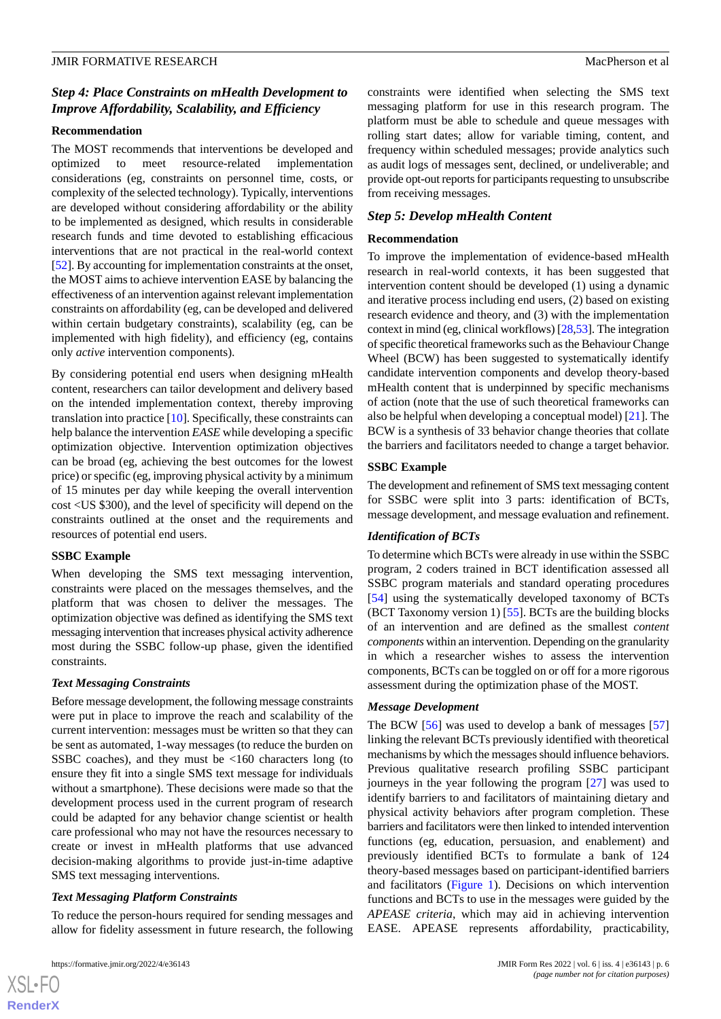### *Step 4: Place Constraints on mHealth Development to Improve Affordability, Scalability, and Efficiency*

### **Recommendation**

The MOST recommends that interventions be developed and optimized to meet resource-related implementation considerations (eg, constraints on personnel time, costs, or complexity of the selected technology). Typically, interventions are developed without considering affordability or the ability to be implemented as designed, which results in considerable research funds and time devoted to establishing efficacious interventions that are not practical in the real-world context [[52\]](#page-11-8). By accounting for implementation constraints at the onset, the MOST aims to achieve intervention EASE by balancing the effectiveness of an intervention against relevant implementation constraints on affordability (eg, can be developed and delivered within certain budgetary constraints), scalability (eg, can be implemented with high fidelity), and efficiency (eg, contains only *active* intervention components).

By considering potential end users when designing mHealth content, researchers can tailor development and delivery based on the intended implementation context, thereby improving translation into practice [\[10](#page-9-7)]. Specifically, these constraints can help balance the intervention *EASE* while developing a specific optimization objective. Intervention optimization objectives can be broad (eg, achieving the best outcomes for the lowest price) or specific (eg, improving physical activity by a minimum of 15 minutes per day while keeping the overall intervention cost <US \$300), and the level of specificity will depend on the constraints outlined at the onset and the requirements and resources of potential end users.

### **SSBC Example**

When developing the SMS text messaging intervention, constraints were placed on the messages themselves, and the platform that was chosen to deliver the messages. The optimization objective was defined as identifying the SMS text messaging intervention that increases physical activity adherence most during the SSBC follow-up phase, given the identified constraints.

### *Text Messaging Constraints*

Before message development, the following message constraints were put in place to improve the reach and scalability of the current intervention: messages must be written so that they can be sent as automated, 1-way messages (to reduce the burden on SSBC coaches), and they must be <160 characters long (to ensure they fit into a single SMS text message for individuals without a smartphone). These decisions were made so that the development process used in the current program of research could be adapted for any behavior change scientist or health care professional who may not have the resources necessary to create or invest in mHealth platforms that use advanced decision-making algorithms to provide just-in-time adaptive SMS text messaging interventions.

### *Text Messaging Platform Constraints*

To reduce the person-hours required for sending messages and allow for fidelity assessment in future research, the following

 $XS$ -FO **[RenderX](http://www.renderx.com/)** constraints were identified when selecting the SMS text messaging platform for use in this research program. The platform must be able to schedule and queue messages with rolling start dates; allow for variable timing, content, and frequency within scheduled messages; provide analytics such as audit logs of messages sent, declined, or undeliverable; and provide opt-out reports for participants requesting to unsubscribe from receiving messages.

### *Step 5: Develop mHealth Content*

### **Recommendation**

To improve the implementation of evidence-based mHealth research in real-world contexts, it has been suggested that intervention content should be developed (1) using a dynamic and iterative process including end users, (2) based on existing research evidence and theory, and (3) with the implementation context in mind (eg, clinical workflows) [[28](#page-10-5),[53\]](#page-11-9). The integration of specific theoretical frameworks such as the Behaviour Change Wheel (BCW) has been suggested to systematically identify candidate intervention components and develop theory-based mHealth content that is underpinned by specific mechanisms of action (note that the use of such theoretical frameworks can also be helpful when developing a conceptual model) [\[21](#page-9-18)]. The BCW is a synthesis of 33 behavior change theories that collate the barriers and facilitators needed to change a target behavior.

### **SSBC Example**

The development and refinement of SMS text messaging content for SSBC were split into 3 parts: identification of BCTs, message development, and message evaluation and refinement.

### *Identification of BCTs*

To determine which BCTs were already in use within the SSBC program, 2 coders trained in BCT identification assessed all SSBC program materials and standard operating procedures [[54\]](#page-11-10) using the systematically developed taxonomy of BCTs (BCT Taxonomy version 1) [[55\]](#page-11-11). BCTs are the building blocks of an intervention and are defined as the smallest *content components* within an intervention. Depending on the granularity in which a researcher wishes to assess the intervention components, BCTs can be toggled on or off for a more rigorous assessment during the optimization phase of the MOST.

### *Message Development*

The BCW [[56\]](#page-11-12) was used to develop a bank of messages [\[57](#page-11-13)] linking the relevant BCTs previously identified with theoretical mechanisms by which the messages should influence behaviors. Previous qualitative research profiling SSBC participant journeys in the year following the program [[27\]](#page-10-4) was used to identify barriers to and facilitators of maintaining dietary and physical activity behaviors after program completion. These barriers and facilitators were then linked to intended intervention functions (eg, education, persuasion, and enablement) and previously identified BCTs to formulate a bank of 124 theory-based messages based on participant-identified barriers and facilitators ([Figure 1\)](#page-6-0). Decisions on which intervention functions and BCTs to use in the messages were guided by the *APEASE criteria*, which may aid in achieving intervention EASE. APEASE represents affordability, practicability,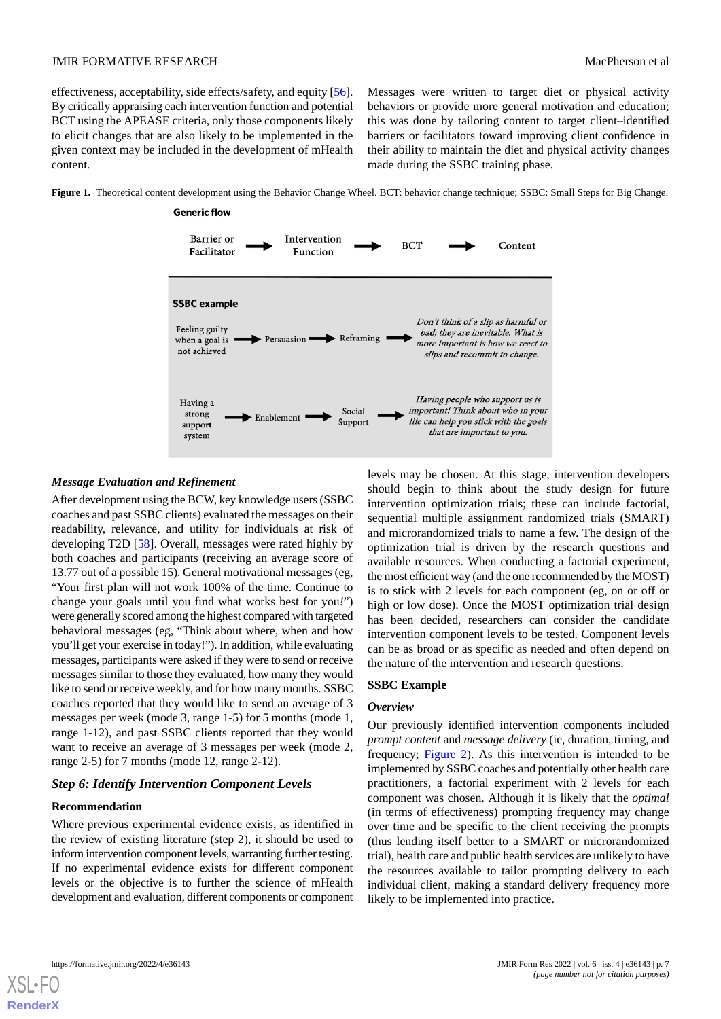effectiveness, acceptability, side effects/safety, and equity [[56\]](#page-11-12). By critically appraising each intervention function and potential BCT using the APEASE criteria, only those components likely to elicit changes that are also likely to be implemented in the given context may be included in the development of mHealth content.

Messages were written to target diet or physical activity behaviors or provide more general motivation and education; this was done by tailoring content to target client–identified barriers or facilitators toward improving client confidence in their ability to maintain the diet and physical activity changes made during the SSBC training phase.

<span id="page-6-0"></span>**Figure 1.** Theoretical content development using the Behavior Change Wheel. BCT: behavior change technique; SSBC: Small Steps for Big Change.



### *Message Evaluation and Refinement*

After development using the BCW, key knowledge users (SSBC coaches and past SSBC clients) evaluated the messages on their readability, relevance, and utility for individuals at risk of developing T2D [[58\]](#page-11-14). Overall, messages were rated highly by both coaches and participants (receiving an average score of 13.77 out of a possible 15). General motivational messages (eg, "Your first plan will not work 100% of the time. Continue to change your goals until you find what works best for you*!*") were generally scored among the highest compared with targeted behavioral messages (eg, "Think about where, when and how you'll get your exercise in today!"). In addition, while evaluating messages, participants were asked if they were to send or receive messages similar to those they evaluated, how many they would like to send or receive weekly, and for how many months. SSBC coaches reported that they would like to send an average of 3 messages per week (mode 3, range 1-5) for 5 months (mode 1, range 1-12), and past SSBC clients reported that they would want to receive an average of 3 messages per week (mode 2, range 2-5) for 7 months (mode 12, range 2-12).

### *Step 6: Identify Intervention Component Levels*

### **Recommendation**

Where previous experimental evidence exists, as identified in the review of existing literature (step 2), it should be used to inform intervention component levels, warranting further testing. If no experimental evidence exists for different component levels or the objective is to further the science of mHealth development and evaluation, different components or component

levels may be chosen. At this stage, intervention developers should begin to think about the study design for future intervention optimization trials; these can include factorial, sequential multiple assignment randomized trials (SMART) and microrandomized trials to name a few. The design of the optimization trial is driven by the research questions and available resources. When conducting a factorial experiment, the most efficient way (and the one recommended by the MOST) is to stick with 2 levels for each component (eg, on or off or high or low dose). Once the MOST optimization trial design has been decided, researchers can consider the candidate intervention component levels to be tested. Component levels can be as broad or as specific as needed and often depend on the nature of the intervention and research questions.

#### **SSBC Example**

#### *Overview*

Our previously identified intervention components included *prompt content* and *message delivery* (ie, duration, timing, and frequency; [Figure 2\)](#page-7-0). As this intervention is intended to be implemented by SSBC coaches and potentially other health care practitioners, a factorial experiment with 2 levels for each component was chosen. Although it is likely that the *optimal* (in terms of effectiveness) prompting frequency may change over time and be specific to the client receiving the prompts (thus lending itself better to a SMART or microrandomized trial), health care and public health services are unlikely to have the resources available to tailor prompting delivery to each individual client, making a standard delivery frequency more likely to be implemented into practice.

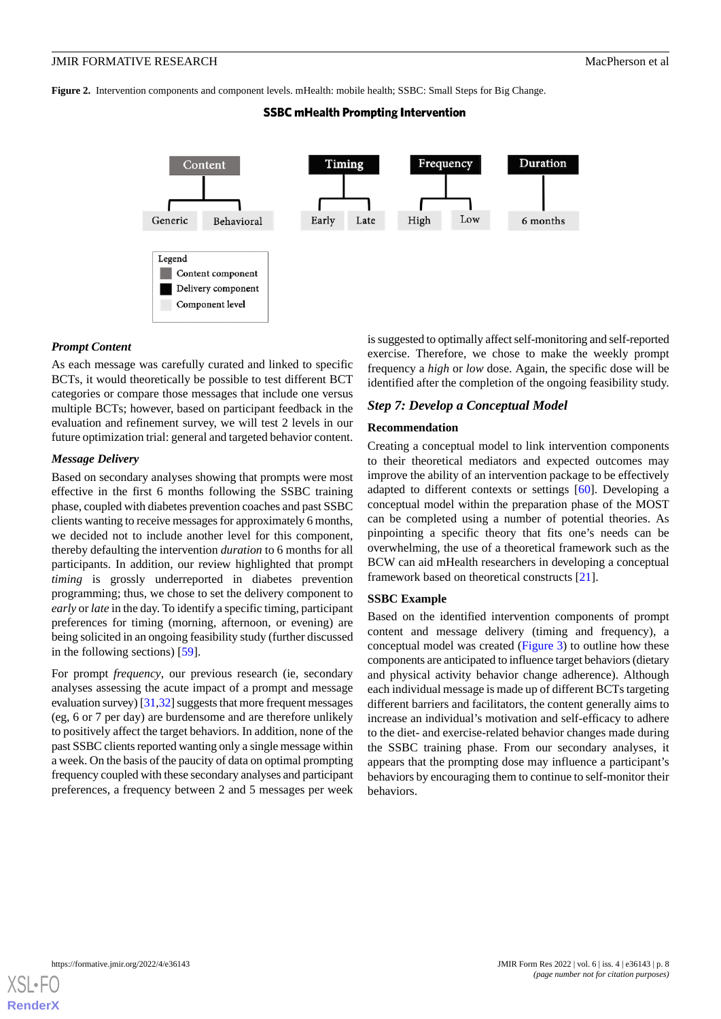<span id="page-7-0"></span>**Figure 2.** Intervention components and component levels. mHealth: mobile health; SSBC: Small Steps for Big Change.

### **SSBC mHealth Prompting Intervention**



### *Prompt Content*

As each message was carefully curated and linked to specific BCTs, it would theoretically be possible to test different BCT categories or compare those messages that include one versus multiple BCTs; however, based on participant feedback in the evaluation and refinement survey, we will test 2 levels in our future optimization trial: general and targeted behavior content.

### *Message Delivery*

Based on secondary analyses showing that prompts were most effective in the first 6 months following the SSBC training phase, coupled with diabetes prevention coaches and past SSBC clients wanting to receive messages for approximately 6 months, we decided not to include another level for this component, thereby defaulting the intervention *duration* to 6 months for all participants. In addition, our review highlighted that prompt *timing* is grossly underreported in diabetes prevention programming; thus, we chose to set the delivery component to *early* or *late* in the day. To identify a specific timing, participant preferences for timing (morning, afternoon, or evening) are being solicited in an ongoing feasibility study (further discussed in the following sections) [\[59](#page-11-15)].

For prompt *frequency*, our previous research (ie, secondary analyses assessing the acute impact of a prompt and message evaluation survey) [\[31](#page-10-8)[,32](#page-10-9)] suggests that more frequent messages (eg, 6 or 7 per day) are burdensome and are therefore unlikely to positively affect the target behaviors. In addition, none of the past SSBC clients reported wanting only a single message within a week. On the basis of the paucity of data on optimal prompting frequency coupled with these secondary analyses and participant preferences, a frequency between 2 and 5 messages per week

is suggested to optimally affect self-monitoring and self-reported exercise. Therefore, we chose to make the weekly prompt frequency a *high* or *low* dose. Again, the specific dose will be identified after the completion of the ongoing feasibility study.

### *Step 7: Develop a Conceptual Model*

### **Recommendation**

Creating a conceptual model to link intervention components to their theoretical mediators and expected outcomes may improve the ability of an intervention package to be effectively adapted to different contexts or settings [[60\]](#page-11-16). Developing a conceptual model within the preparation phase of the MOST can be completed using a number of potential theories. As pinpointing a specific theory that fits one's needs can be overwhelming, the use of a theoretical framework such as the BCW can aid mHealth researchers in developing a conceptual framework based on theoretical constructs [\[21](#page-9-18)].

#### **SSBC Example**

Based on the identified intervention components of prompt content and message delivery (timing and frequency), a conceptual model was created ([Figure 3\)](#page-8-0) to outline how these components are anticipated to influence target behaviors (dietary and physical activity behavior change adherence). Although each individual message is made up of different BCTs targeting different barriers and facilitators, the content generally aims to increase an individual's motivation and self-efficacy to adhere to the diet- and exercise-related behavior changes made during the SSBC training phase. From our secondary analyses, it appears that the prompting dose may influence a participant's behaviors by encouraging them to continue to self-monitor their behaviors.

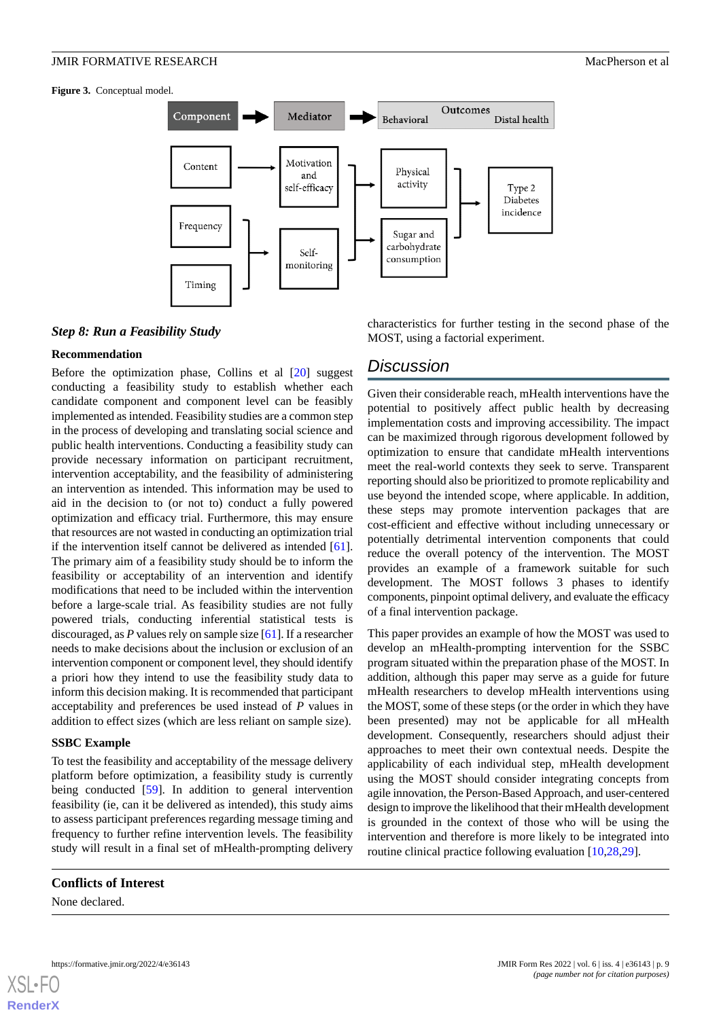<span id="page-8-0"></span>**Figure 3.** Conceptual model.



#### *Step 8: Run a Feasibility Study*

#### **Recommendation**

Before the optimization phase, Collins et al [[20\]](#page-9-17) suggest conducting a feasibility study to establish whether each candidate component and component level can be feasibly implemented as intended. Feasibility studies are a common step in the process of developing and translating social science and public health interventions. Conducting a feasibility study can provide necessary information on participant recruitment, intervention acceptability, and the feasibility of administering an intervention as intended. This information may be used to aid in the decision to (or not to) conduct a fully powered optimization and efficacy trial. Furthermore, this may ensure that resources are not wasted in conducting an optimization trial if the intervention itself cannot be delivered as intended [[61\]](#page-11-17). The primary aim of a feasibility study should be to inform the feasibility or acceptability of an intervention and identify modifications that need to be included within the intervention before a large-scale trial. As feasibility studies are not fully powered trials, conducting inferential statistical tests is discouraged, as *P* values rely on sample size [[61\]](#page-11-17). If a researcher needs to make decisions about the inclusion or exclusion of an intervention component or component level, they should identify a priori how they intend to use the feasibility study data to inform this decision making. It is recommended that participant acceptability and preferences be used instead of *P* values in addition to effect sizes (which are less reliant on sample size).

#### **SSBC Example**

To test the feasibility and acceptability of the message delivery platform before optimization, a feasibility study is currently being conducted [[59\]](#page-11-15). In addition to general intervention feasibility (ie, can it be delivered as intended), this study aims to assess participant preferences regarding message timing and frequency to further refine intervention levels. The feasibility study will result in a final set of mHealth-prompting delivery

### **Conflicts of Interest**

None declared.

characteristics for further testing in the second phase of the MOST, using a factorial experiment.

### *Discussion*

Given their considerable reach, mHealth interventions have the potential to positively affect public health by decreasing implementation costs and improving accessibility. The impact can be maximized through rigorous development followed by optimization to ensure that candidate mHealth interventions meet the real-world contexts they seek to serve. Transparent reporting should also be prioritized to promote replicability and use beyond the intended scope, where applicable. In addition, these steps may promote intervention packages that are cost-efficient and effective without including unnecessary or potentially detrimental intervention components that could reduce the overall potency of the intervention. The MOST provides an example of a framework suitable for such development. The MOST follows 3 phases to identify components, pinpoint optimal delivery, and evaluate the efficacy of a final intervention package.

This paper provides an example of how the MOST was used to develop an mHealth-prompting intervention for the SSBC program situated within the preparation phase of the MOST. In addition, although this paper may serve as a guide for future mHealth researchers to develop mHealth interventions using the MOST, some of these steps (or the order in which they have been presented) may not be applicable for all mHealth development. Consequently, researchers should adjust their approaches to meet their own contextual needs. Despite the applicability of each individual step, mHealth development using the MOST should consider integrating concepts from agile innovation, the Person-Based Approach, and user-centered design to improve the likelihood that their mHealth development is grounded in the context of those who will be using the intervention and therefore is more likely to be integrated into routine clinical practice following evaluation [[10,](#page-9-7)[28](#page-10-5),[29\]](#page-10-6).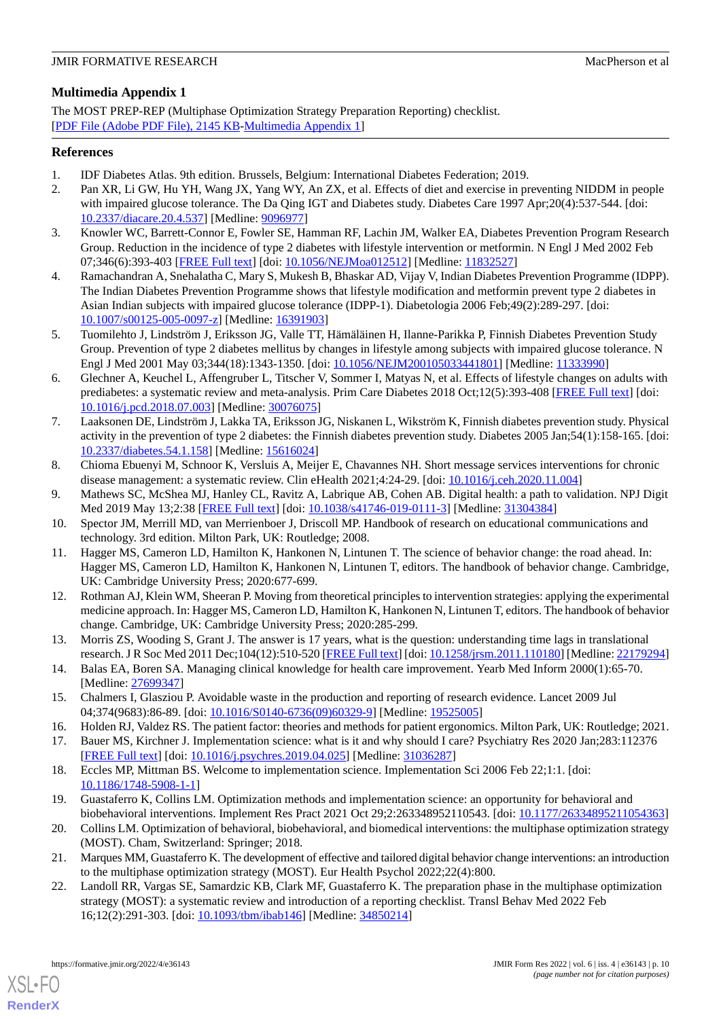### <span id="page-9-20"></span>**Multimedia Appendix 1**

The MOST PREP-REP (Multiphase Optimization Strategy Preparation Reporting) checklist. [[PDF File \(Adobe PDF File\), 2145 KB](https://jmir.org/api/download?alt_name=formative_v6i4e36143_app1.pdf&filename=6054c04fb0bc0abafe4b5922eb4fcf6d.pdf)-[Multimedia Appendix 1\]](https://jmir.org/api/download?alt_name=formative_v6i4e36143_app1.pdf&filename=6054c04fb0bc0abafe4b5922eb4fcf6d.pdf)

### <span id="page-9-0"></span>**References**

- <span id="page-9-1"></span>1. IDF Diabetes Atlas. 9th edition. Brussels, Belgium: International Diabetes Federation; 2019.
- 2. Pan XR, Li GW, Hu YH, Wang JX, Yang WY, An ZX, et al. Effects of diet and exercise in preventing NIDDM in people with impaired glucose tolerance. The Da Qing IGT and Diabetes study. Diabetes Care 1997 Apr;20(4):537-544. [doi: [10.2337/diacare.20.4.537](http://dx.doi.org/10.2337/diacare.20.4.537)] [Medline: [9096977\]](http://www.ncbi.nlm.nih.gov/entrez/query.fcgi?cmd=Retrieve&db=PubMed&list_uids=9096977&dopt=Abstract)
- 3. Knowler WC, Barrett-Connor E, Fowler SE, Hamman RF, Lachin JM, Walker EA, Diabetes Prevention Program Research Group. Reduction in the incidence of type 2 diabetes with lifestyle intervention or metformin. N Engl J Med 2002 Feb 07;346(6):393-403 [[FREE Full text](http://europepmc.org/abstract/MED/11832527)] [doi: [10.1056/NEJMoa012512](http://dx.doi.org/10.1056/NEJMoa012512)] [Medline: [11832527](http://www.ncbi.nlm.nih.gov/entrez/query.fcgi?cmd=Retrieve&db=PubMed&list_uids=11832527&dopt=Abstract)]
- <span id="page-9-2"></span>4. Ramachandran A, Snehalatha C, Mary S, Mukesh B, Bhaskar AD, Vijay V, Indian Diabetes Prevention Programme (IDPP). The Indian Diabetes Prevention Programme shows that lifestyle modification and metformin prevent type 2 diabetes in Asian Indian subjects with impaired glucose tolerance (IDPP-1). Diabetologia 2006 Feb;49(2):289-297. [doi: [10.1007/s00125-005-0097-z](http://dx.doi.org/10.1007/s00125-005-0097-z)] [Medline: [16391903\]](http://www.ncbi.nlm.nih.gov/entrez/query.fcgi?cmd=Retrieve&db=PubMed&list_uids=16391903&dopt=Abstract)
- <span id="page-9-3"></span>5. Tuomilehto J, Lindström J, Eriksson JG, Valle TT, Hämäläinen H, Ilanne-Parikka P, Finnish Diabetes Prevention Study Group. Prevention of type 2 diabetes mellitus by changes in lifestyle among subjects with impaired glucose tolerance. N Engl J Med 2001 May 03;344(18):1343-1350. [doi: [10.1056/NEJM200105033441801\]](http://dx.doi.org/10.1056/NEJM200105033441801) [Medline: [11333990\]](http://www.ncbi.nlm.nih.gov/entrez/query.fcgi?cmd=Retrieve&db=PubMed&list_uids=11333990&dopt=Abstract)
- <span id="page-9-4"></span>6. Glechner A, Keuchel L, Affengruber L, Titscher V, Sommer I, Matyas N, et al. Effects of lifestyle changes on adults with prediabetes: a systematic review and meta-analysis. Prim Care Diabetes 2018 Oct;12(5):393-408 [\[FREE Full text\]](https://linkinghub.elsevier.com/retrieve/pii/S1751-9918(18)30196-7) [doi: [10.1016/j.pcd.2018.07.003](http://dx.doi.org/10.1016/j.pcd.2018.07.003)] [Medline: [30076075\]](http://www.ncbi.nlm.nih.gov/entrez/query.fcgi?cmd=Retrieve&db=PubMed&list_uids=30076075&dopt=Abstract)
- <span id="page-9-5"></span>7. Laaksonen DE, Lindström J, Lakka TA, Eriksson JG, Niskanen L, Wikström K, Finnish diabetes prevention study. Physical activity in the prevention of type 2 diabetes: the Finnish diabetes prevention study. Diabetes 2005 Jan;54(1):158-165. [doi: [10.2337/diabetes.54.1.158](http://dx.doi.org/10.2337/diabetes.54.1.158)] [Medline: [15616024\]](http://www.ncbi.nlm.nih.gov/entrez/query.fcgi?cmd=Retrieve&db=PubMed&list_uids=15616024&dopt=Abstract)
- <span id="page-9-7"></span><span id="page-9-6"></span>8. Chioma Ebuenyi M, Schnoor K, Versluis A, Meijer E, Chavannes NH. Short message services interventions for chronic disease management: a systematic review. Clin eHealth 2021;4:24-29. [doi: [10.1016/j.ceh.2020.11.004\]](http://dx.doi.org/10.1016/j.ceh.2020.11.004)
- <span id="page-9-8"></span>9. Mathews SC, McShea MJ, Hanley CL, Ravitz A, Labrique AB, Cohen AB. Digital health: a path to validation. NPJ Digit Med 2019 May 13;2:38 [\[FREE Full text\]](https://doi.org/10.1038/s41746-019-0111-3) [doi: [10.1038/s41746-019-0111-3\]](http://dx.doi.org/10.1038/s41746-019-0111-3) [Medline: [31304384\]](http://www.ncbi.nlm.nih.gov/entrez/query.fcgi?cmd=Retrieve&db=PubMed&list_uids=31304384&dopt=Abstract)
- <span id="page-9-9"></span>10. Spector JM, Merrill MD, van Merrienboer J, Driscoll MP. Handbook of research on educational communications and technology. 3rd edition. Milton Park, UK: Routledge; 2008.
- 11. Hagger MS, Cameron LD, Hamilton K, Hankonen N, Lintunen T. The science of behavior change: the road ahead. In: Hagger MS, Cameron LD, Hamilton K, Hankonen N, Lintunen T, editors. The handbook of behavior change. Cambridge, UK: Cambridge University Press; 2020:677-699.
- <span id="page-9-11"></span><span id="page-9-10"></span>12. Rothman AJ, Klein WM, Sheeran P. Moving from theoretical principles to intervention strategies: applying the experimental medicine approach. In: Hagger MS, Cameron LD, Hamilton K, Hankonen N, Lintunen T, editors. The handbook of behavior change. Cambridge, UK: Cambridge University Press; 2020:285-299.
- <span id="page-9-12"></span>13. Morris ZS, Wooding S, Grant J. The answer is 17 years, what is the question: understanding time lags in translational research. J R Soc Med 2011 Dec;104(12):510-520 [[FREE Full text\]](https://journals.sagepub.com/doi/10.1258/jrsm.2011.110180?url_ver=Z39.88-2003&rfr_id=ori:rid:crossref.org&rfr_dat=cr_pub%3dpubmed) [doi: [10.1258/jrsm.2011.110180\]](http://dx.doi.org/10.1258/jrsm.2011.110180) [Medline: [22179294](http://www.ncbi.nlm.nih.gov/entrez/query.fcgi?cmd=Retrieve&db=PubMed&list_uids=22179294&dopt=Abstract)]
- <span id="page-9-14"></span><span id="page-9-13"></span>14. Balas EA, Boren SA. Managing clinical knowledge for health care improvement. Yearb Med Inform 2000(1):65-70. [Medline: [27699347](http://www.ncbi.nlm.nih.gov/entrez/query.fcgi?cmd=Retrieve&db=PubMed&list_uids=27699347&dopt=Abstract)]
- <span id="page-9-15"></span>15. Chalmers I, Glasziou P. Avoidable waste in the production and reporting of research evidence. Lancet 2009 Jul 04;374(9683):86-89. [doi: [10.1016/S0140-6736\(09\)60329-9\]](http://dx.doi.org/10.1016/S0140-6736(09)60329-9) [Medline: [19525005](http://www.ncbi.nlm.nih.gov/entrez/query.fcgi?cmd=Retrieve&db=PubMed&list_uids=19525005&dopt=Abstract)]
- <span id="page-9-16"></span>16. Holden RJ, Valdez RS. The patient factor: theories and methods for patient ergonomics. Milton Park, UK: Routledge; 2021.
- <span id="page-9-17"></span>17. Bauer MS, Kirchner J. Implementation science: what is it and why should I care? Psychiatry Res 2020 Jan;283:112376 [[FREE Full text](https://linkinghub.elsevier.com/retrieve/pii/S0165-1781(19)30602-X)] [doi: [10.1016/j.psychres.2019.04.025\]](http://dx.doi.org/10.1016/j.psychres.2019.04.025) [Medline: [31036287](http://www.ncbi.nlm.nih.gov/entrez/query.fcgi?cmd=Retrieve&db=PubMed&list_uids=31036287&dopt=Abstract)]
- <span id="page-9-18"></span>18. Eccles MP, Mittman BS. Welcome to implementation science. Implementation Sci 2006 Feb 22;1:1. [doi: [10.1186/1748-5908-1-1\]](http://dx.doi.org/10.1186/1748-5908-1-1)
- <span id="page-9-19"></span>19. Guastaferro K, Collins LM. Optimization methods and implementation science: an opportunity for behavioral and biobehavioral interventions. Implement Res Pract 2021 Oct 29;2:263348952110543. [doi: [10.1177/26334895211054363\]](http://dx.doi.org/10.1177/26334895211054363)
- 20. Collins LM. Optimization of behavioral, biobehavioral, and biomedical interventions: the multiphase optimization strategy (MOST). Cham, Switzerland: Springer; 2018.
- 21. Marques MM, Guastaferro K. The development of effective and tailored digital behavior change interventions: an introduction to the multiphase optimization strategy (MOST). Eur Health Psychol 2022;22(4):800.
- 22. Landoll RR, Vargas SE, Samardzic KB, Clark MF, Guastaferro K. The preparation phase in the multiphase optimization strategy (MOST): a systematic review and introduction of a reporting checklist. Transl Behav Med 2022 Feb 16;12(2):291-303. [doi: [10.1093/tbm/ibab146](http://dx.doi.org/10.1093/tbm/ibab146)] [Medline: [34850214](http://www.ncbi.nlm.nih.gov/entrez/query.fcgi?cmd=Retrieve&db=PubMed&list_uids=34850214&dopt=Abstract)]

[XSL](http://www.w3.org/Style/XSL)•FO **[RenderX](http://www.renderx.com/)**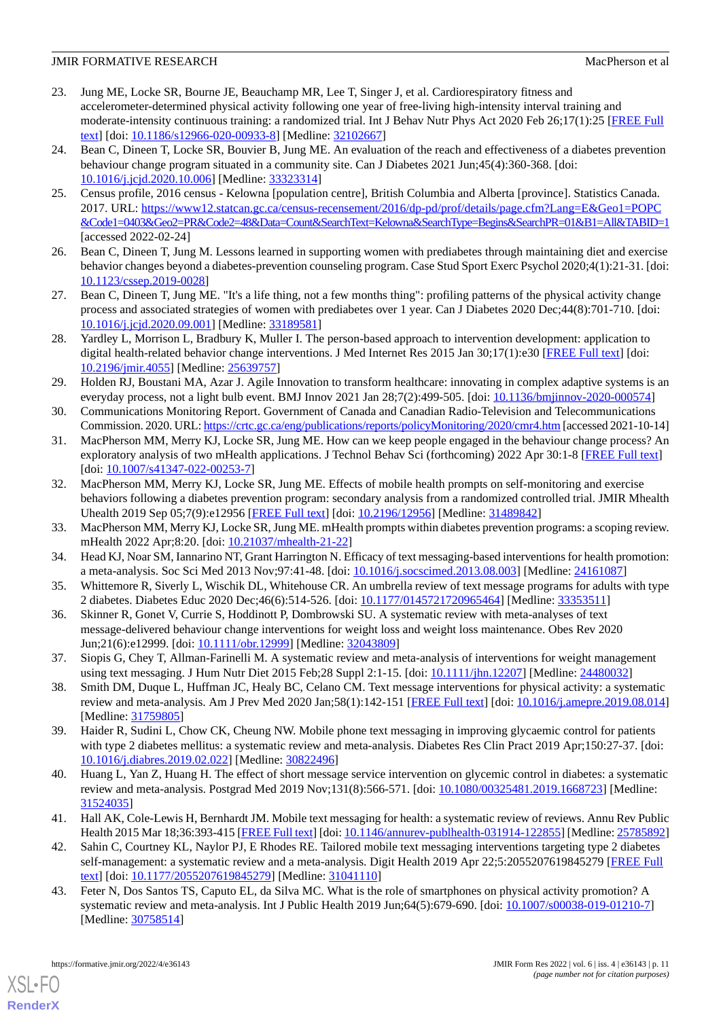- <span id="page-10-0"></span>23. Jung ME, Locke SR, Bourne JE, Beauchamp MR, Lee T, Singer J, et al. Cardiorespiratory fitness and accelerometer-determined physical activity following one year of free-living high-intensity interval training and moderate-intensity continuous training: a randomized trial. Int J Behav Nutr Phys Act 2020 Feb 26;17(1):25 [\[FREE Full](https://ijbnpa.biomedcentral.com/articles/10.1186/s12966-020-00933-8) [text](https://ijbnpa.biomedcentral.com/articles/10.1186/s12966-020-00933-8)] [doi: [10.1186/s12966-020-00933-8\]](http://dx.doi.org/10.1186/s12966-020-00933-8) [Medline: [32102667\]](http://www.ncbi.nlm.nih.gov/entrez/query.fcgi?cmd=Retrieve&db=PubMed&list_uids=32102667&dopt=Abstract)
- <span id="page-10-1"></span>24. Bean C, Dineen T, Locke SR, Bouvier B, Jung ME. An evaluation of the reach and effectiveness of a diabetes prevention behaviour change program situated in a community site. Can J Diabetes 2021 Jun;45(4):360-368. [doi: [10.1016/j.jcjd.2020.10.006\]](http://dx.doi.org/10.1016/j.jcjd.2020.10.006) [Medline: [33323314](http://www.ncbi.nlm.nih.gov/entrez/query.fcgi?cmd=Retrieve&db=PubMed&list_uids=33323314&dopt=Abstract)]
- <span id="page-10-2"></span>25. Census profile, 2016 census - Kelowna [population centre], British Columbia and Alberta [province]. Statistics Canada. 2017. URL: [https://www12.statcan.gc.ca/census-recensement/2016/dp-pd/prof/details/page.cfm?Lang=E&Geo1=POPC](https://www12.statcan.gc.ca/census-recensement/2016/dp-pd/prof/details/page.cfm?Lang=E&Geo1=POPC&Code1=0403&Geo2=PR&Code2=48&Data=Count&SearchText=Kelowna&SearchType=Begins&SearchPR=01&B1=All&TABID=1) [&Code1=0403&Geo2=PR&Code2=48&Data=Count&SearchText=Kelowna&SearchType=Begins&SearchPR=01&B1=All&TABID=1](https://www12.statcan.gc.ca/census-recensement/2016/dp-pd/prof/details/page.cfm?Lang=E&Geo1=POPC&Code1=0403&Geo2=PR&Code2=48&Data=Count&SearchText=Kelowna&SearchType=Begins&SearchPR=01&B1=All&TABID=1) [accessed 2022-02-24]
- <span id="page-10-4"></span><span id="page-10-3"></span>26. Bean C, Dineen T, Jung M. Lessons learned in supporting women with prediabetes through maintaining diet and exercise behavior changes beyond a diabetes-prevention counseling program. Case Stud Sport Exerc Psychol 2020;4(1):21-31. [doi: [10.1123/cssep.2019-0028](http://dx.doi.org/10.1123/cssep.2019-0028)]
- <span id="page-10-5"></span>27. Bean C, Dineen T, Jung ME. "It's a life thing, not a few months thing": profiling patterns of the physical activity change process and associated strategies of women with prediabetes over 1 year. Can J Diabetes 2020 Dec;44(8):701-710. [doi: [10.1016/j.jcjd.2020.09.001\]](http://dx.doi.org/10.1016/j.jcjd.2020.09.001) [Medline: [33189581](http://www.ncbi.nlm.nih.gov/entrez/query.fcgi?cmd=Retrieve&db=PubMed&list_uids=33189581&dopt=Abstract)]
- <span id="page-10-6"></span>28. Yardley L, Morrison L, Bradbury K, Muller I. The person-based approach to intervention development: application to digital health-related behavior change interventions. J Med Internet Res 2015 Jan 30;17(1):e30 [\[FREE Full text\]](https://www.jmir.org/2015/1/e30/) [doi: [10.2196/jmir.4055](http://dx.doi.org/10.2196/jmir.4055)] [Medline: [25639757](http://www.ncbi.nlm.nih.gov/entrez/query.fcgi?cmd=Retrieve&db=PubMed&list_uids=25639757&dopt=Abstract)]
- <span id="page-10-7"></span>29. Holden RJ, Boustani MA, Azar J. Agile Innovation to transform healthcare: innovating in complex adaptive systems is an everyday process, not a light bulb event. BMJ Innov 2021 Jan 28;7(2):499-505. [doi: [10.1136/bmjinnov-2020-000574\]](http://dx.doi.org/10.1136/bmjinnov-2020-000574)
- <span id="page-10-8"></span>30. Communications Monitoring Report. Government of Canada and Canadian Radio-Television and Telecommunications Commission. 2020. URL:<https://crtc.gc.ca/eng/publications/reports/policyMonitoring/2020/cmr4.htm> [accessed 2021-10-14]
- <span id="page-10-9"></span>31. MacPherson MM, Merry KJ, Locke SR, Jung ME. How can we keep people engaged in the behaviour change process? An exploratory analysis of two mHealth applications. J Technol Behav Sci (forthcoming) 2022 Apr 30:1-8 [\[FREE Full text\]](https://doi.org/10.1007/s41347-022-00253-7) [doi: [10.1007/s41347-022-00253-7](http://dx.doi.org/10.1007/s41347-022-00253-7)]
- <span id="page-10-11"></span><span id="page-10-10"></span>32. MacPherson MM, Merry KJ, Locke SR, Jung ME. Effects of mobile health prompts on self-monitoring and exercise behaviors following a diabetes prevention program: secondary analysis from a randomized controlled trial. JMIR Mhealth Uhealth 2019 Sep 05;7(9):e12956 [\[FREE Full text\]](https://mhealth.jmir.org/2019/9/e12956/) [doi: [10.2196/12956](http://dx.doi.org/10.2196/12956)] [Medline: [31489842\]](http://www.ncbi.nlm.nih.gov/entrez/query.fcgi?cmd=Retrieve&db=PubMed&list_uids=31489842&dopt=Abstract)
- <span id="page-10-20"></span>33. MacPherson MM, Merry KJ, Locke SR, Jung ME. mHealth prompts within diabetes prevention programs: a scoping review. mHealth 2022 Apr;8:20. [doi: [10.21037/mhealth-21-22\]](http://dx.doi.org/10.21037/mhealth-21-22)
- <span id="page-10-16"></span>34. Head KJ, Noar SM, Iannarino NT, Grant Harrington N. Efficacy of text messaging-based interventions for health promotion: a meta-analysis. Soc Sci Med 2013 Nov;97:41-48. [doi: [10.1016/j.socscimed.2013.08.003\]](http://dx.doi.org/10.1016/j.socscimed.2013.08.003) [Medline: [24161087](http://www.ncbi.nlm.nih.gov/entrez/query.fcgi?cmd=Retrieve&db=PubMed&list_uids=24161087&dopt=Abstract)]
- <span id="page-10-17"></span>35. Whittemore R, Siverly L, Wischik DL, Whitehouse CR. An umbrella review of text message programs for adults with type 2 diabetes. Diabetes Educ 2020 Dec;46(6):514-526. [doi: [10.1177/0145721720965464](http://dx.doi.org/10.1177/0145721720965464)] [Medline: [33353511\]](http://www.ncbi.nlm.nih.gov/entrez/query.fcgi?cmd=Retrieve&db=PubMed&list_uids=33353511&dopt=Abstract)
- <span id="page-10-18"></span>36. Skinner R, Gonet V, Currie S, Hoddinott P, Dombrowski SU. A systematic review with meta-analyses of text message-delivered behaviour change interventions for weight loss and weight loss maintenance. Obes Rev 2020 Jun;21(6):e12999. [doi: [10.1111/obr.12999](http://dx.doi.org/10.1111/obr.12999)] [Medline: [32043809\]](http://www.ncbi.nlm.nih.gov/entrez/query.fcgi?cmd=Retrieve&db=PubMed&list_uids=32043809&dopt=Abstract)
- <span id="page-10-13"></span>37. Siopis G, Chey T, Allman-Farinelli M. A systematic review and meta-analysis of interventions for weight management using text messaging. J Hum Nutr Diet 2015 Feb;28 Suppl 2:1-15. [doi: [10.1111/jhn.12207](http://dx.doi.org/10.1111/jhn.12207)] [Medline: [24480032](http://www.ncbi.nlm.nih.gov/entrez/query.fcgi?cmd=Retrieve&db=PubMed&list_uids=24480032&dopt=Abstract)]
- <span id="page-10-14"></span>38. Smith DM, Duque L, Huffman JC, Healy BC, Celano CM. Text message interventions for physical activity: a systematic review and meta-analysis. Am J Prev Med 2020 Jan;58(1):142-151 [[FREE Full text\]](http://europepmc.org/abstract/MED/31759805) [doi: [10.1016/j.amepre.2019.08.014](http://dx.doi.org/10.1016/j.amepre.2019.08.014)] [Medline: [31759805](http://www.ncbi.nlm.nih.gov/entrez/query.fcgi?cmd=Retrieve&db=PubMed&list_uids=31759805&dopt=Abstract)]
- <span id="page-10-12"></span>39. Haider R, Sudini L, Chow CK, Cheung NW. Mobile phone text messaging in improving glycaemic control for patients with type 2 diabetes mellitus: a systematic review and meta-analysis. Diabetes Res Clin Pract 2019 Apr;150:27-37. [doi: [10.1016/j.diabres.2019.02.022](http://dx.doi.org/10.1016/j.diabres.2019.02.022)] [Medline: [30822496](http://www.ncbi.nlm.nih.gov/entrez/query.fcgi?cmd=Retrieve&db=PubMed&list_uids=30822496&dopt=Abstract)]
- <span id="page-10-15"></span>40. Huang L, Yan Z, Huang H. The effect of short message service intervention on glycemic control in diabetes: a systematic review and meta-analysis. Postgrad Med 2019 Nov;131(8):566-571. [doi: [10.1080/00325481.2019.1668723\]](http://dx.doi.org/10.1080/00325481.2019.1668723) [Medline: [31524035](http://www.ncbi.nlm.nih.gov/entrez/query.fcgi?cmd=Retrieve&db=PubMed&list_uids=31524035&dopt=Abstract)]
- <span id="page-10-19"></span>41. Hall AK, Cole-Lewis H, Bernhardt JM. Mobile text messaging for health: a systematic review of reviews. Annu Rev Public Health 2015 Mar 18;36:393-415 [\[FREE Full text](http://europepmc.org/abstract/MED/25785892)] [doi: [10.1146/annurev-publhealth-031914-122855](http://dx.doi.org/10.1146/annurev-publhealth-031914-122855)] [Medline: [25785892\]](http://www.ncbi.nlm.nih.gov/entrez/query.fcgi?cmd=Retrieve&db=PubMed&list_uids=25785892&dopt=Abstract)
- 42. Sahin C, Courtney KL, Naylor PJ, E Rhodes RE. Tailored mobile text messaging interventions targeting type 2 diabetes self-management: a systematic review and a meta-analysis. Digit Health 2019 Apr 22;5:2055207619845279 [[FREE Full](https://journals.sagepub.com/doi/10.1177/2055207619845279?url_ver=Z39.88-2003&rfr_id=ori:rid:crossref.org&rfr_dat=cr_pub%3dpubmed) [text](https://journals.sagepub.com/doi/10.1177/2055207619845279?url_ver=Z39.88-2003&rfr_id=ori:rid:crossref.org&rfr_dat=cr_pub%3dpubmed)] [doi: [10.1177/2055207619845279\]](http://dx.doi.org/10.1177/2055207619845279) [Medline: [31041110\]](http://www.ncbi.nlm.nih.gov/entrez/query.fcgi?cmd=Retrieve&db=PubMed&list_uids=31041110&dopt=Abstract)
- 43. Feter N, Dos Santos TS, Caputo EL, da Silva MC. What is the role of smartphones on physical activity promotion? A systematic review and meta-analysis. Int J Public Health 2019 Jun;64(5):679-690. [doi: [10.1007/s00038-019-01210-7](http://dx.doi.org/10.1007/s00038-019-01210-7)] [Medline: [30758514](http://www.ncbi.nlm.nih.gov/entrez/query.fcgi?cmd=Retrieve&db=PubMed&list_uids=30758514&dopt=Abstract)]

[XSL](http://www.w3.org/Style/XSL)•FO **[RenderX](http://www.renderx.com/)**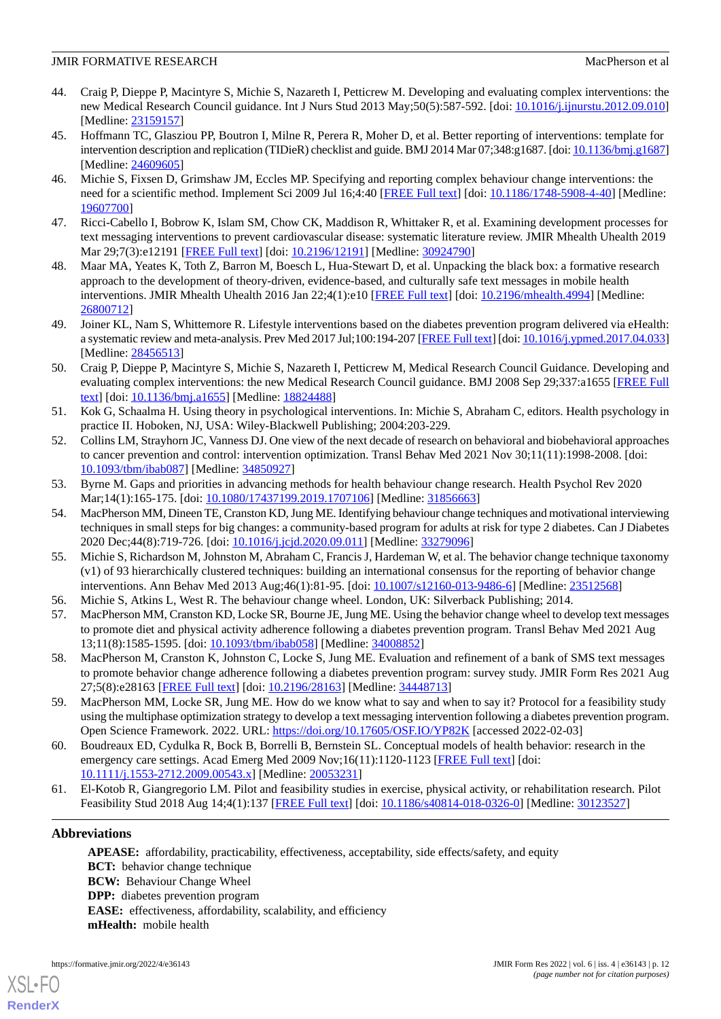- <span id="page-11-0"></span>44. Craig P, Dieppe P, Macintyre S, Michie S, Nazareth I, Petticrew M. Developing and evaluating complex interventions: the new Medical Research Council guidance. Int J Nurs Stud 2013 May;50(5):587-592. [doi: [10.1016/j.ijnurstu.2012.09.010](http://dx.doi.org/10.1016/j.ijnurstu.2012.09.010)] [Medline: [23159157](http://www.ncbi.nlm.nih.gov/entrez/query.fcgi?cmd=Retrieve&db=PubMed&list_uids=23159157&dopt=Abstract)]
- <span id="page-11-1"></span>45. Hoffmann TC, Glasziou PP, Boutron I, Milne R, Perera R, Moher D, et al. Better reporting of interventions: template for intervention description and replication (TIDieR) checklist and guide. BMJ 2014 Mar 07;348:g1687. [doi: [10.1136/bmj.g1687](http://dx.doi.org/10.1136/bmj.g1687)] [Medline: [24609605](http://www.ncbi.nlm.nih.gov/entrez/query.fcgi?cmd=Retrieve&db=PubMed&list_uids=24609605&dopt=Abstract)]
- <span id="page-11-2"></span>46. Michie S, Fixsen D, Grimshaw JM, Eccles MP. Specifying and reporting complex behaviour change interventions: the need for a scientific method. Implement Sci 2009 Jul 16;4:40 [\[FREE Full text\]](https://implementationscience.biomedcentral.com/articles/10.1186/1748-5908-4-40) [doi: [10.1186/1748-5908-4-40](http://dx.doi.org/10.1186/1748-5908-4-40)] [Medline: [19607700](http://www.ncbi.nlm.nih.gov/entrez/query.fcgi?cmd=Retrieve&db=PubMed&list_uids=19607700&dopt=Abstract)]
- <span id="page-11-4"></span><span id="page-11-3"></span>47. Ricci-Cabello I, Bobrow K, Islam SM, Chow CK, Maddison R, Whittaker R, et al. Examining development processes for text messaging interventions to prevent cardiovascular disease: systematic literature review. JMIR Mhealth Uhealth 2019 Mar 29;7(3):e12191 [\[FREE Full text\]](https://mhealth.jmir.org/2019/3/e12191/) [doi: [10.2196/12191](http://dx.doi.org/10.2196/12191)] [Medline: [30924790\]](http://www.ncbi.nlm.nih.gov/entrez/query.fcgi?cmd=Retrieve&db=PubMed&list_uids=30924790&dopt=Abstract)
- <span id="page-11-5"></span>48. Maar MA, Yeates K, Toth Z, Barron M, Boesch L, Hua-Stewart D, et al. Unpacking the black box: a formative research approach to the development of theory-driven, evidence-based, and culturally safe text messages in mobile health interventions. JMIR Mhealth Uhealth 2016 Jan 22;4(1):e10 [[FREE Full text](https://mhealth.jmir.org/2016/1/e10/)] [doi: [10.2196/mhealth.4994](http://dx.doi.org/10.2196/mhealth.4994)] [Medline: [26800712](http://www.ncbi.nlm.nih.gov/entrez/query.fcgi?cmd=Retrieve&db=PubMed&list_uids=26800712&dopt=Abstract)]
- <span id="page-11-6"></span>49. Joiner KL, Nam S, Whittemore R. Lifestyle interventions based on the diabetes prevention program delivered via eHealth: a systematic review and meta-analysis. Prev Med 2017 Jul;100:194-207 [\[FREE Full text](http://europepmc.org/abstract/MED/28456513)] [doi: [10.1016/j.ypmed.2017.04.033\]](http://dx.doi.org/10.1016/j.ypmed.2017.04.033) [Medline: [28456513](http://www.ncbi.nlm.nih.gov/entrez/query.fcgi?cmd=Retrieve&db=PubMed&list_uids=28456513&dopt=Abstract)]
- <span id="page-11-7"></span>50. Craig P, Dieppe P, Macintyre S, Michie S, Nazareth I, Petticrew M, Medical Research Council Guidance. Developing and evaluating complex interventions: the new Medical Research Council guidance. BMJ 2008 Sep 29;337:a1655 [[FREE Full](http://europepmc.org/abstract/MED/18824488) [text](http://europepmc.org/abstract/MED/18824488)] [doi: [10.1136/bmj.a1655](http://dx.doi.org/10.1136/bmj.a1655)] [Medline: [18824488](http://www.ncbi.nlm.nih.gov/entrez/query.fcgi?cmd=Retrieve&db=PubMed&list_uids=18824488&dopt=Abstract)]
- <span id="page-11-8"></span>51. Kok G, Schaalma H. Using theory in psychological interventions. In: Michie S, Abraham C, editors. Health psychology in practice II. Hoboken, NJ, USA: Wiley-Blackwell Publishing; 2004:203-229.
- <span id="page-11-10"></span><span id="page-11-9"></span>52. Collins LM, Strayhorn JC, Vanness DJ. One view of the next decade of research on behavioral and biobehavioral approaches to cancer prevention and control: intervention optimization. Transl Behav Med 2021 Nov 30;11(11):1998-2008. [doi: [10.1093/tbm/ibab087](http://dx.doi.org/10.1093/tbm/ibab087)] [Medline: [34850927](http://www.ncbi.nlm.nih.gov/entrez/query.fcgi?cmd=Retrieve&db=PubMed&list_uids=34850927&dopt=Abstract)]
- 53. Byrne M. Gaps and priorities in advancing methods for health behaviour change research. Health Psychol Rev 2020 Mar;14(1):165-175. [doi: [10.1080/17437199.2019.1707106](http://dx.doi.org/10.1080/17437199.2019.1707106)] [Medline: [31856663](http://www.ncbi.nlm.nih.gov/entrez/query.fcgi?cmd=Retrieve&db=PubMed&list_uids=31856663&dopt=Abstract)]
- <span id="page-11-11"></span>54. MacPherson MM, Dineen TE, Cranston KD, Jung ME. Identifying behaviour change techniques and motivational interviewing techniques in small steps for big changes: a community-based program for adults at risk for type 2 diabetes. Can J Diabetes 2020 Dec;44(8):719-726. [doi: [10.1016/j.jcjd.2020.09.011](http://dx.doi.org/10.1016/j.jcjd.2020.09.011)] [Medline: [33279096\]](http://www.ncbi.nlm.nih.gov/entrez/query.fcgi?cmd=Retrieve&db=PubMed&list_uids=33279096&dopt=Abstract)
- <span id="page-11-13"></span><span id="page-11-12"></span>55. Michie S, Richardson M, Johnston M, Abraham C, Francis J, Hardeman W, et al. The behavior change technique taxonomy (v1) of 93 hierarchically clustered techniques: building an international consensus for the reporting of behavior change interventions. Ann Behav Med 2013 Aug;46(1):81-95. [doi: [10.1007/s12160-013-9486-6\]](http://dx.doi.org/10.1007/s12160-013-9486-6) [Medline: [23512568\]](http://www.ncbi.nlm.nih.gov/entrez/query.fcgi?cmd=Retrieve&db=PubMed&list_uids=23512568&dopt=Abstract)
- <span id="page-11-14"></span>56. Michie S, Atkins L, West R. The behaviour change wheel. London, UK: Silverback Publishing; 2014.
- <span id="page-11-15"></span>57. MacPherson MM, Cranston KD, Locke SR, Bourne JE, Jung ME. Using the behavior change wheel to develop text messages to promote diet and physical activity adherence following a diabetes prevention program. Transl Behav Med 2021 Aug 13;11(8):1585-1595. [doi: [10.1093/tbm/ibab058](http://dx.doi.org/10.1093/tbm/ibab058)] [Medline: [34008852](http://www.ncbi.nlm.nih.gov/entrez/query.fcgi?cmd=Retrieve&db=PubMed&list_uids=34008852&dopt=Abstract)]
- <span id="page-11-16"></span>58. MacPherson M, Cranston K, Johnston C, Locke S, Jung ME. Evaluation and refinement of a bank of SMS text messages to promote behavior change adherence following a diabetes prevention program: survey study. JMIR Form Res 2021 Aug 27;5(8):e28163 [\[FREE Full text](https://formative.jmir.org/2021/8/e28163/)] [doi: [10.2196/28163\]](http://dx.doi.org/10.2196/28163) [Medline: [34448713\]](http://www.ncbi.nlm.nih.gov/entrez/query.fcgi?cmd=Retrieve&db=PubMed&list_uids=34448713&dopt=Abstract)
- <span id="page-11-17"></span>59. MacPherson MM, Locke SR, Jung ME. How do we know what to say and when to say it? Protocol for a feasibility study using the multiphase optimization strategy to develop a text messaging intervention following a diabetes prevention program. Open Science Framework. 2022. URL:<https://doi.org/10.17605/OSF.IO/YP82K> [accessed 2022-02-03]
- 60. Boudreaux ED, Cydulka R, Bock B, Borrelli B, Bernstein SL. Conceptual models of health behavior: research in the emergency care settings. Acad Emerg Med 2009 Nov;16(11):1120-1123 [[FREE Full text](https://doi.org/10.1111/j.1553-2712.2009.00543.x)] [doi: [10.1111/j.1553-2712.2009.00543.x\]](http://dx.doi.org/10.1111/j.1553-2712.2009.00543.x) [Medline: [20053231\]](http://www.ncbi.nlm.nih.gov/entrez/query.fcgi?cmd=Retrieve&db=PubMed&list_uids=20053231&dopt=Abstract)
- 61. El-Kotob R, Giangregorio LM. Pilot and feasibility studies in exercise, physical activity, or rehabilitation research. Pilot Feasibility Stud 2018 Aug 14;4(1):137 [\[FREE Full text\]](https://pilotfeasibilitystudies.biomedcentral.com/articles/10.1186/s40814-018-0326-0) [doi: [10.1186/s40814-018-0326-0](http://dx.doi.org/10.1186/s40814-018-0326-0)] [Medline: [30123527\]](http://www.ncbi.nlm.nih.gov/entrez/query.fcgi?cmd=Retrieve&db=PubMed&list_uids=30123527&dopt=Abstract)

### **Abbreviations**

[XSL](http://www.w3.org/Style/XSL)•FO **[RenderX](http://www.renderx.com/)**

**APEASE:** affordability, practicability, effectiveness, acceptability, side effects/safety, and equity **BCT:** behavior change technique **BCW:** Behaviour Change Wheel **DPP:** diabetes prevention program **EASE:** effectiveness, affordability, scalability, and efficiency **mHealth:** mobile health